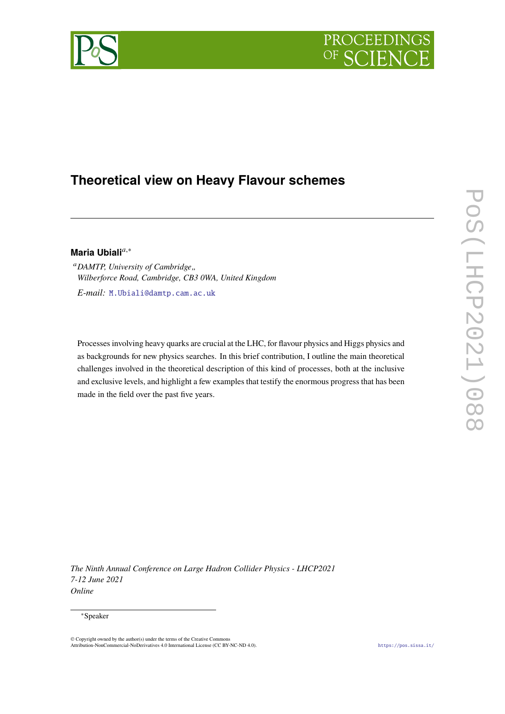

# **Theoretical view on Heavy Flavour schemes**

## Maria Ubiali<sup>a,∗</sup>

<sup>*a*</sup>DAMTP, University of Cambridge,, *Wilberforce Road, Cambridge, CB3 0WA, United Kingdom*

*E-mail:* M.Ubiali@damtp.cam.ac.uk

Processes involving heavy quarks are crucial at the LHC, for flavour physics and Higgs physics and as backgrounds for new physics searches. In this brief contribution, I outline the main theoretical challenges involved in the theoretical description of this kind of processes, both at the inclusive and exclusive levels, and highlight a few examples that testify the enormous progress that has been made in the field over the past five years.

*The Ninth Annual Conference on Large Hadron Collider Physics - LHCP2021 7-12 June 2021 Online*

#### <sup>∗</sup>Speaker

<sup>©</sup> Copyright owned by the author(s) under the terms of the Creative Commons Attribution-NonCommercial-NoDerivatives 4.0 International License (CC BY-NC-ND 4.0). https://pos.sissa.it/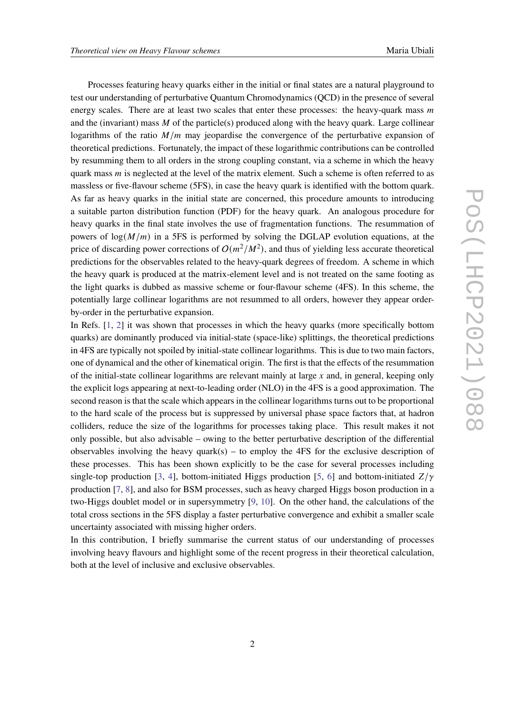Processes featuring heavy quarks either in the initial or final states are a natural playground to test our understanding of perturbative Quantum Chromodynamics (QCD) in the presence of several energy scales. There are at least two scales that enter these processes: the heavy-quark mass  $$ and the (invariant) mass  $M$  of the particle(s) produced along with the heavy quark. Large collinear logarithms of the ratio  $M/m$  may jeopardise the convergence of the perturbative expansion of theoretical predictions. Fortunately, the impact of these logarithmic contributions can be controlled by resumming them to all orders in the strong coupling constant, via a scheme in which the heavy quark mass  *is neglected at the level of the matrix element. Such a scheme is often referred to as* massless or five-flavour scheme (5FS), in case the heavy quark is identified with the bottom quark. As far as heavy quarks in the initial state are concerned, this procedure amounts to introducing a suitable parton distribution function (PDF) for the heavy quark. An analogous procedure for heavy quarks in the final state involves the use of fragmentation functions. The resummation of powers of  $log(M/m)$  in a 5FS is performed by solving the DGLAP evolution equations, at the price of discarding power corrections of  $O(m^2/M^2)$ , and thus of yielding less accurate theoretical predictions for the observables related to the heavy-quark degrees of freedom. A scheme in which the heavy quark is produced at the matrix-element level and is not treated on the same footing as the light quarks is dubbed as massive scheme or four-flavour scheme (4FS). In this scheme, the potentially large collinear logarithms are not resummed to all orders, however they appear orderby-order in the perturbative expansion.

In Refs. [1, 2] it was shown that processes in which the heavy quarks (more specifically bottom quarks) are dominantly produced via initial-state (space-like) splittings, the theoretical predictions in 4FS are typically not spoiled by initial-state collinear logarithms. This is due to two main factors, one of dynamical and the other of kinematical origin. The first is that the effects of the resummation of the initial-state collinear logarithms are relevant mainly at large  $x$  and, in general, keeping only the explicit logs appearing at next-to-leading order (NLO) in the 4FS is a good approximation. The second reason is that the scale which appears in the collinear logarithms turns out to be proportional to the hard scale of the process but is suppressed by universal phase space factors that, at hadron colliders, reduce the size of the logarithms for processes taking place. This result makes it not only possible, but also advisable – owing to the better perturbative description of the differential observables involving the heavy quark(s) – to employ the 4FS for the exclusive description of these processes. This has been shown explicitly to be the case for several processes including single-top production [3, 4], bottom-initiated Higgs production [5, 6] and bottom-initiated  $Z/\gamma$ production [7, 8], and also for BSM processes, such as heavy charged Higgs boson production in a two-Higgs doublet model or in supersymmetry [9, 10]. On the other hand, the calculations of the total cross sections in the 5FS display a faster perturbative convergence and exhibit a smaller scale uncertainty associated with missing higher orders.

In this contribution, I briefly summarise the current status of our understanding of processes involving heavy flavours and highlight some of the recent progress in their theoretical calculation, both at the level of inclusive and exclusive observables.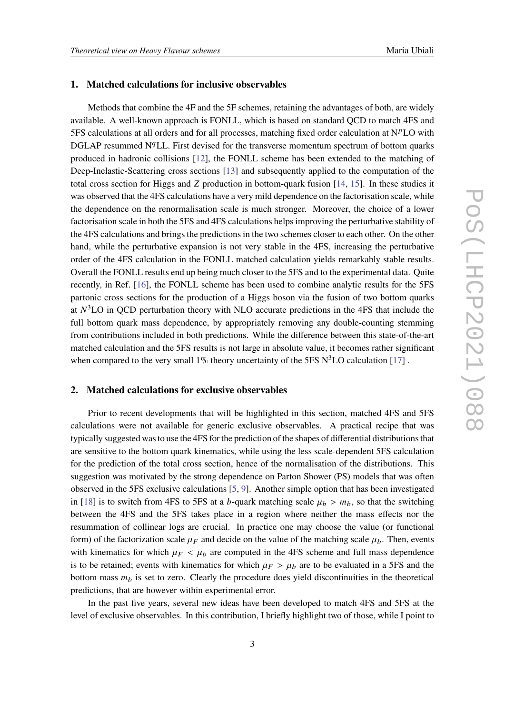#### **1. Matched calculations for inclusive observables**

Methods that combine the 4F and the 5F schemes, retaining the advantages of both, are widely available. A well-known approach is FONLL, which is based on standard QCD to match 4FS and 5FS calculations at all orders and for all processes, matching fixed order calculation at  $N<sup>p</sup>LO$  with DGLAP resummed  $N<sup>q</sup>LL$ . First devised for the transverse momentum spectrum of bottom quarks produced in hadronic collisions [12], the FONLL scheme has been extended to the matching of Deep-Inelastic-Scattering cross sections [13] and subsequently applied to the computation of the total cross section for Higgs and  $Z$  production in bottom-quark fusion [14, 15]. In these studies it was observed that the 4FS calculations have a very mild dependence on the factorisation scale, while the dependence on the renormalisation scale is much stronger. Moreover, the choice of a lower factorisation scale in both the 5FS and 4FS calculations helps improving the perturbative stability of the 4FS calculations and brings the predictions in the two schemes closer to each other. On the other hand, while the perturbative expansion is not very stable in the 4FS, increasing the perturbative order of the 4FS calculation in the FONLL matched calculation yields remarkably stable results. Overall the FONLL results end up being much closer to the 5FS and to the experimental data. Quite recently, in Ref. [16], the FONLL scheme has been used to combine analytic results for the 5FS partonic cross sections for the production of a Higgs boson via the fusion of two bottom quarks at  $N<sup>3</sup>$ LO in QCD perturbation theory with NLO accurate predictions in the 4FS that include the full bottom quark mass dependence, by appropriately removing any double-counting stemming from contributions included in both predictions. While the difference between this state-of-the-art matched calculation and the 5FS results is not large in absolute value, it becomes rather significant when compared to the very small 1% theory uncertainty of the 5FS  $N<sup>3</sup>LO$  calculation [17].

#### **2. Matched calculations for exclusive observables**

Prior to recent developments that will be highlighted in this section, matched 4FS and 5FS calculations were not available for generic exclusive observables. A practical recipe that was typically suggested was to use the 4FS for the prediction of the shapes of differential distributions that are sensitive to the bottom quark kinematics, while using the less scale-dependent 5FS calculation for the prediction of the total cross section, hence of the normalisation of the distributions. This suggestion was motivated by the strong dependence on Parton Shower (PS) models that was often observed in the 5FS exclusive calculations [5, 9]. Another simple option that has been investigated in [18] is to switch from 4FS to 5FS at a b-quark matching scale  $\mu_b > m_b$ , so that the switching between the 4FS and the 5FS takes place in a region where neither the mass effects nor the resummation of collinear logs are crucial. In practice one may choose the value (or functional form) of the factorization scale  $\mu_F$  and decide on the value of the matching scale  $\mu_b$ . Then, events with kinematics for which  $\mu_F < \mu_b$  are computed in the 4FS scheme and full mass dependence is to be retained; events with kinematics for which  $\mu_F > \mu_b$  are to be evaluated in a 5FS and the bottom mass  $m_b$  is set to zero. Clearly the procedure does yield discontinuities in the theoretical predictions, that are however within experimental error.

In the past five years, several new ideas have been developed to match 4FS and 5FS at the level of exclusive observables. In this contribution, I briefly highlight two of those, while I point to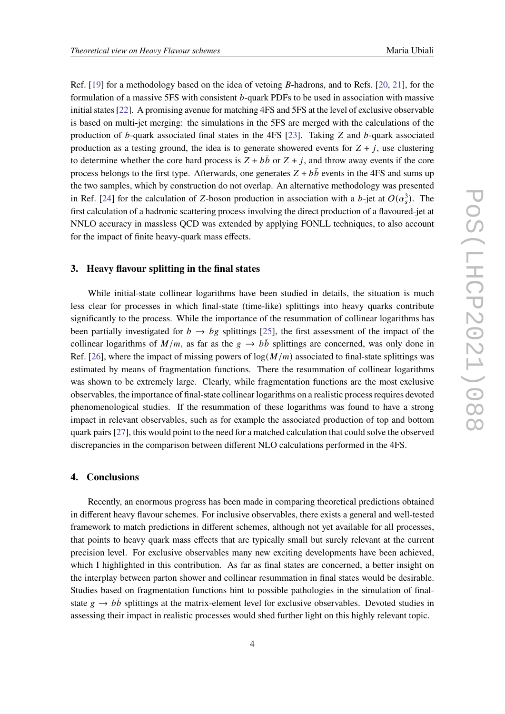Ref. [19] for a methodology based on the idea of vetoing  $B$ -hadrons, and to Refs. [20, 21], for the formulation of a massive  $5FS$  with consistent  $b$ -quark PDFs to be used in association with massive initial states [22]. A promising avenue for matching 4FS and 5FS at the level of exclusive observable is based on multi-jet merging: the simulations in the 5FS are merged with the calculations of the production of b-quark associated final states in the 4FS  $[23]$ . Taking Z and b-quark associated production as a testing ground, the idea is to generate showered events for  $Z + i$ , use clustering to determine whether the core hard process is  $Z + b\bar{b}$  or  $Z + i$ , and throw away events if the core process belongs to the first type. Afterwards, one generates  $Z + b\bar{b}$  events in the 4FS and sums up the two samples, which by construction do not overlap. An alternative methodology was presented in Ref. [24] for the calculation of Z-boson production in association with a b-jet at  $O(\alpha_s^3)$ . The first calculation of a hadronic scattering process involving the direct production of a flavoured-jet at NNLO accuracy in massless QCD was extended by applying FONLL techniques, to also account for the impact of finite heavy-quark mass effects.

### **3. Heavy flavour splitting in the final states**

While initial-state collinear logarithms have been studied in details, the situation is much less clear for processes in which final-state (time-like) splittings into heavy quarks contribute significantly to the process. While the importance of the resummation of collinear logarithms has been partially investigated for  $b \rightarrow bg$  splittings [25], the first assessment of the impact of the collinear logarithms of  $M/m$ , as far as the  $g \to b\bar{b}$  splittings are concerned, was only done in Ref. [26], where the impact of missing powers of  $\log(M/m)$  associated to final-state splittings was estimated by means of fragmentation functions. There the resummation of collinear logarithms was shown to be extremely large. Clearly, while fragmentation functions are the most exclusive observables, the importance of final-state collinear logarithms on a realistic process requires devoted phenomenological studies. If the resummation of these logarithms was found to have a strong impact in relevant observables, such as for example the associated production of top and bottom quark pairs [27], this would point to the need for a matched calculation that could solve the observed discrepancies in the comparison between different NLO calculations performed in the 4FS.

### **4. Conclusions**

Recently, an enormous progress has been made in comparing theoretical predictions obtained in different heavy flavour schemes. For inclusive observables, there exists a general and well-tested framework to match predictions in different schemes, although not yet available for all processes, that points to heavy quark mass effects that are typically small but surely relevant at the current precision level. For exclusive observables many new exciting developments have been achieved, which I highlighted in this contribution. As far as final states are concerned, a better insight on the interplay between parton shower and collinear resummation in final states would be desirable. Studies based on fragmentation functions hint to possible pathologies in the simulation of finalstate  $g \rightarrow b\bar{b}$  splittings at the matrix-element level for exclusive observables. Devoted studies in assessing their impact in realistic processes would shed further light on this highly relevant topic.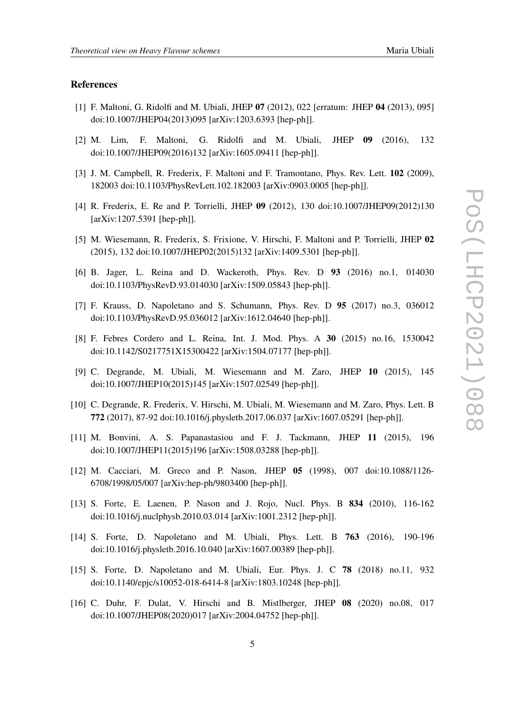#### **References**

- [1] F. Maltoni, G. Ridolfi and M. Ubiali, JHEP **07** (2012), 022 [erratum: JHEP **04** (2013), 095] doi:10.1007/JHEP04(2013)095 [arXiv:1203.6393 [hep-ph]].
- [2] M. Lim, F. Maltoni, G. Ridolfi and M. Ubiali, JHEP **09** (2016), 132 doi:10.1007/JHEP09(2016)132 [arXiv:1605.09411 [hep-ph]].
- [3] J. M. Campbell, R. Frederix, F. Maltoni and F. Tramontano, Phys. Rev. Lett. **102** (2009), 182003 doi:10.1103/PhysRevLett.102.182003 [arXiv:0903.0005 [hep-ph]].
- [4] R. Frederix, E. Re and P. Torrielli, JHEP **09** (2012), 130 doi:10.1007/JHEP09(2012)130 [arXiv:1207.5391 [hep-ph]].
- [5] M. Wiesemann, R. Frederix, S. Frixione, V. Hirschi, F. Maltoni and P. Torrielli, JHEP **02** (2015), 132 doi:10.1007/JHEP02(2015)132 [arXiv:1409.5301 [hep-ph]].
- [6] B. Jager, L. Reina and D. Wackeroth, Phys. Rev. D **93** (2016) no.1, 014030 doi:10.1103/PhysRevD.93.014030 [arXiv:1509.05843 [hep-ph]].
- [7] F. Krauss, D. Napoletano and S. Schumann, Phys. Rev. D **95** (2017) no.3, 036012 doi:10.1103/PhysRevD.95.036012 [arXiv:1612.04640 [hep-ph]].
- [8] F. Febres Cordero and L. Reina, Int. J. Mod. Phys. A **30** (2015) no.16, 1530042 doi:10.1142/S0217751X15300422 [arXiv:1504.07177 [hep-ph]].
- [9] C. Degrande, M. Ubiali, M. Wiesemann and M. Zaro, JHEP **10** (2015), 145 doi:10.1007/JHEP10(2015)145 [arXiv:1507.02549 [hep-ph]].
- [10] C. Degrande, R. Frederix, V. Hirschi, M. Ubiali, M. Wiesemann and M. Zaro, Phys. Lett. B **772** (2017), 87-92 doi:10.1016/j.physletb.2017.06.037 [arXiv:1607.05291 [hep-ph]].
- [11] M. Bonvini, A. S. Papanastasiou and F. J. Tackmann, JHEP **11** (2015), 196 doi:10.1007/JHEP11(2015)196 [arXiv:1508.03288 [hep-ph]].
- [12] M. Cacciari, M. Greco and P. Nason, JHEP **05** (1998), 007 doi:10.1088/1126- 6708/1998/05/007 [arXiv:hep-ph/9803400 [hep-ph]].
- [13] S. Forte, E. Laenen, P. Nason and J. Rojo, Nucl. Phys. B **834** (2010), 116-162 doi:10.1016/j.nuclphysb.2010.03.014 [arXiv:1001.2312 [hep-ph]].
- [14] S. Forte, D. Napoletano and M. Ubiali, Phys. Lett. B **763** (2016), 190-196 doi:10.1016/j.physletb.2016.10.040 [arXiv:1607.00389 [hep-ph]].
- [15] S. Forte, D. Napoletano and M. Ubiali, Eur. Phys. J. C **78** (2018) no.11, 932 doi:10.1140/epjc/s10052-018-6414-8 [arXiv:1803.10248 [hep-ph]].
- [16] C. Duhr, F. Dulat, V. Hirschi and B. Mistlberger, JHEP **08** (2020) no.08, 017 doi:10.1007/JHEP08(2020)017 [arXiv:2004.04752 [hep-ph]].